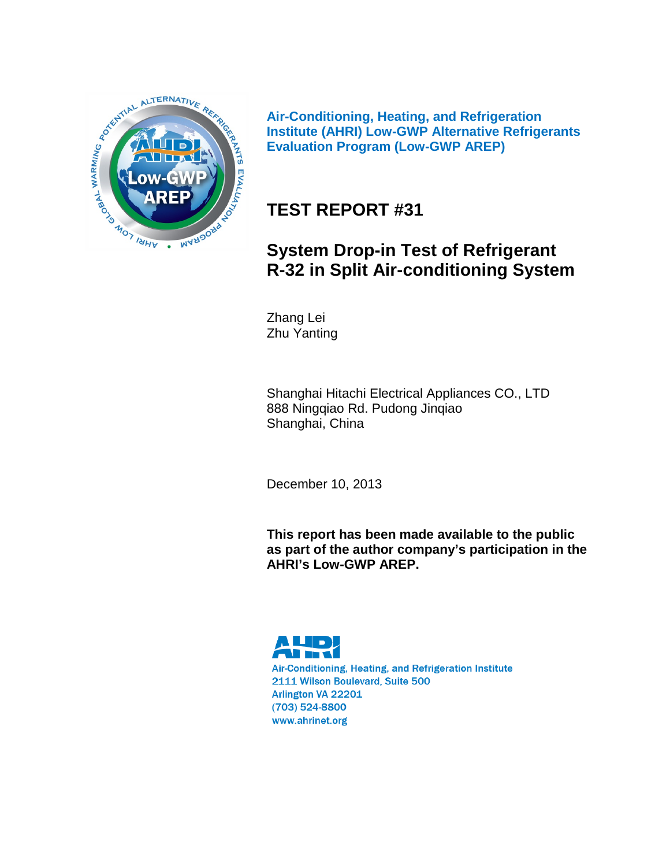

**Air-Conditioning, Heating, and Refrigeration Institute (AHRI) Low-GWP Alternative Refrigerants Evaluation Program (Low-GWP AREP)**

# **TEST REPORT #31**

# **System Drop-in Test of Refrigerant R-32 in Split Air-conditioning System**

Zhang Lei Zhu Yanting

Shanghai Hitachi Electrical Appliances CO., LTD 888 Ningqiao Rd. Pudong Jinqiao Shanghai, China

December 10, 2013

**This report has been made available to the public as part of the author company's participation in the AHRI's Low-GWP AREP.**

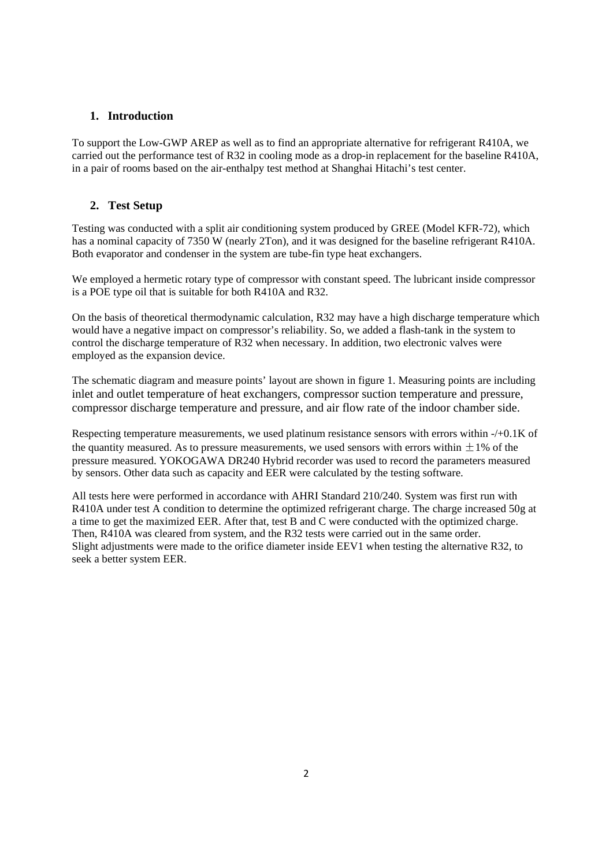## **1. Introduction**

To support the Low-GWP AREP as well as to find an appropriate alternative for refrigerant R410A, we carried out the performance test of R32 in cooling mode as a drop-in replacement for the baseline R410A, in a pair of rooms based on the air-enthalpy test method at Shanghai Hitachi's test center.

## **2. Test Setup**

Testing was conducted with a split air conditioning system produced by GREE (Model KFR-72), which has a nominal capacity of 7350 W (nearly 2Ton), and it was designed for the baseline refrigerant R410A. Both evaporator and condenser in the system are tube-fin type heat exchangers.

We employed a hermetic rotary type of compressor with constant speed. The lubricant inside compressor is a POE type oil that is suitable for both R410A and R32.

On the basis of theoretical thermodynamic calculation, R32 may have a high discharge temperature which would have a negative impact on compressor's reliability. So, we added a flash-tank in the system to control the discharge temperature of R32 when necessary. In addition, two electronic valves were employed as the expansion device.

The schematic diagram and measure points' layout are shown in figure 1. Measuring points are including inlet and outlet temperature of heat exchangers, compressor suction temperature and pressure, compressor discharge temperature and pressure, and air flow rate of the indoor chamber side.

Respecting temperature measurements, we used platinum resistance sensors with errors within -/+0.1K of the quantity measured. As to pressure measurements, we used sensors with errors within  $\pm 1\%$  of the pressure measured. YOKOGAWA DR240 Hybrid recorder was used to record the parameters measured by sensors. Other data such as capacity and EER were calculated by the testing software.

All tests here were performed in accordance with AHRI Standard 210/240. System was first run with R410A under test A condition to determine the optimized refrigerant charge. The charge increased 50g at a time to get the maximized EER. After that, test B and C were conducted with the optimized charge. Then, R410A was cleared from system, and the R32 tests were carried out in the same order. Slight adjustments were made to the orifice diameter inside EEV1 when testing the alternative R32, to seek a better system EER.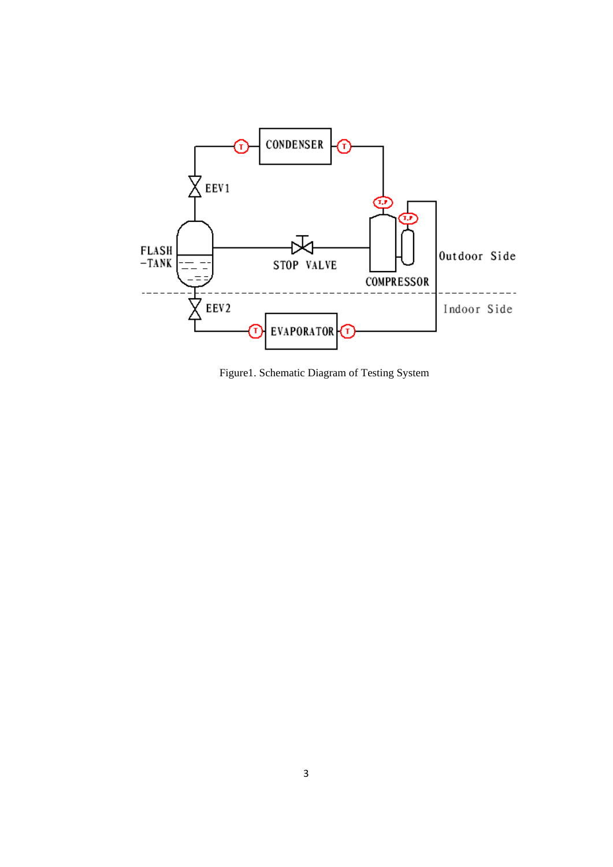

Figure1. Schematic Diagram of Testing System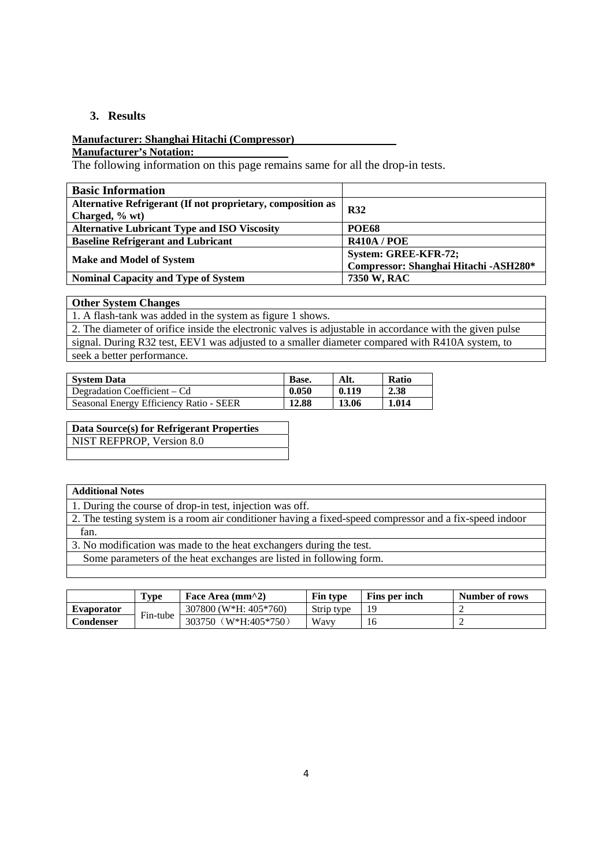## **3. Results**

### **Manufacturer: Shanghai Hitachi (Compressor)**

**Manufacturer's Notation:** 

The following information on this page remains same for all the drop-in tests.

| <b>Basic Information</b>                                    |                                       |  |
|-------------------------------------------------------------|---------------------------------------|--|
| Alternative Refrigerant (If not proprietary, composition as | <b>R32</b>                            |  |
| Charged, % wt)                                              |                                       |  |
| <b>Alternative Lubricant Type and ISO Viscosity</b>         | <b>POE68</b>                          |  |
| <b>Baseline Refrigerant and Lubricant</b>                   | <b>R410A / POE</b>                    |  |
|                                                             | System: GREE-KFR-72;                  |  |
| <b>Make and Model of System</b>                             | Compressor: Shanghai Hitachi -ASH280* |  |
| <b>Nominal Capacity and Type of System</b>                  | 7350 W, RAC                           |  |

### **Other System Changes**

1. A flash-tank was added in the system as figure 1 shows. 2. The diameter of orifice inside the electronic valves is adjustable in accordance with the given pulse signal. During R32 test, EEV1 was adjusted to a smaller diameter compared with R410A system, to seek a better performance.

| <b>System Data</b>                      | Base. | Alt.  | <b>Ratio</b> |
|-----------------------------------------|-------|-------|--------------|
| Degradation Coefficient – Cd            | 0.050 | 0.119 | 2.38         |
| Seasonal Energy Efficiency Ratio - SEER | 12.88 | 13.06 | 1.014        |

## **Data Source(s) for Refrigerant Properties**

NIST REFPROP, Version 8.0

### **Additional Notes**

1. During the course of drop-in test, injection was off.

2. The testing system is a room air conditioner having a fixed-speed compressor and a fix-speed indoor fan.

3. No modification was made to the heat exchangers during the test.

Some parameters of the heat exchanges are listed in following form.

|                   | Type     | Face Area $(mm^2)$      | <b>Fin type</b> | Fins per inch | Number of rows |
|-------------------|----------|-------------------------|-----------------|---------------|----------------|
| <b>Evaporator</b> |          | $307800$ (W*H: 405*760) | Strip type      |               |                |
| Condenser         | Fin-tube | (W*H:405*750)<br>303750 | Wavy            | 16            |                |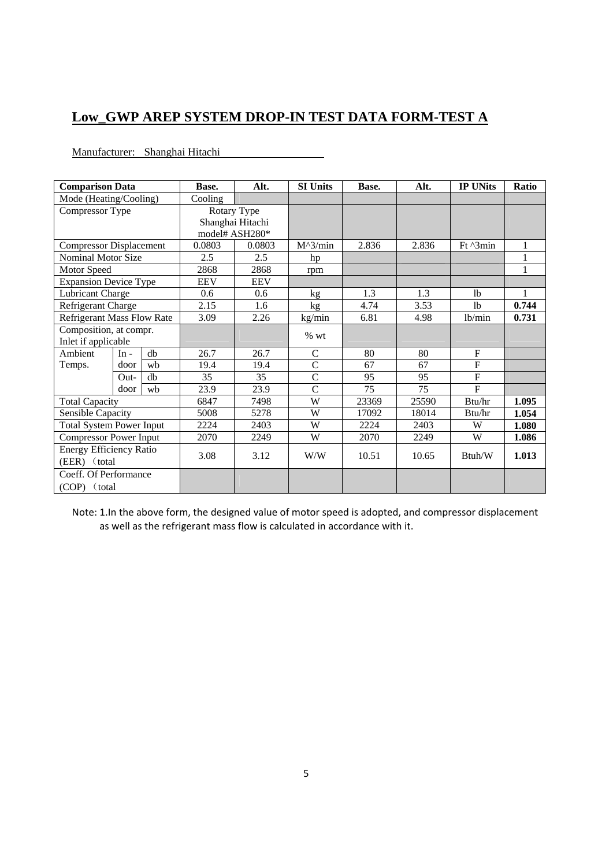# **Low\_GWP AREP SYSTEM DROP-IN TEST DATA FORM-TEST A**

| Manufacturer: Shanghai Hitachi |
|--------------------------------|
|                                |

| <b>Comparison Data</b>            |                     |      | Base.      | Alt.             | <b>SI Units</b>   | Base. | Alt.           | <b>IP UNits</b>    | Ratio        |
|-----------------------------------|---------------------|------|------------|------------------|-------------------|-------|----------------|--------------------|--------------|
| Mode (Heating/Cooling)            |                     |      | Cooling    |                  |                   |       |                |                    |              |
| Compressor Type                   |                     |      |            | Rotary Type      |                   |       |                |                    |              |
|                                   |                     |      |            | Shanghai Hitachi |                   |       |                |                    |              |
|                                   |                     |      |            | model# ASH280*   |                   |       |                |                    |              |
| <b>Compressor Displacement</b>    |                     |      | 0.0803     | 0.0803           | $M^{\wedge}3/min$ | 2.836 | 2.836          | $Ft^{\prime}$ 3min | 1            |
| Nominal Motor Size                |                     |      | 2.5        | 2.5              | hp                |       |                |                    | 1            |
| Motor Speed                       |                     |      | 2868       | 2868             | rpm               |       |                |                    | $\mathbf{1}$ |
| <b>Expansion Device Type</b>      |                     |      | <b>EEV</b> | <b>EEV</b>       |                   |       |                |                    |              |
| Lubricant Charge                  |                     |      | 0.6        | 0.6              | kg                | 1.3   | 1.3            | 1 <sub>b</sub>     | 1            |
| Refrigerant Charge                |                     | 2.15 | 1.6        | kg               | 4.74              | 3.53  | 1 <sub>b</sub> | 0.744              |              |
| <b>Refrigerant Mass Flow Rate</b> |                     |      | 3.09       | 2.26             | kg/min            | 6.81  | 4.98           | lb/min             | 0.731        |
| Composition, at compr.            |                     |      |            |                  |                   |       |                |                    |              |
|                                   | Inlet if applicable |      |            |                  | % wt              |       |                |                    |              |
| Ambient                           | $In -$              | db   | 26.7       | 26.7             | $\mathsf{C}$      | 80    | 80             | $\mathbf{F}$       |              |
| Temps.                            | door                | wh   | 19.4       | 19.4             | $\overline{C}$    | 67    | 67             | $\overline{F}$     |              |
|                                   | $Out-$              | db   | 35         | 35               | $\overline{C}$    | 95    | 95             | $\overline{F}$     |              |
|                                   | door                | wh   | 23.9       | 23.9             | $\overline{C}$    | 75    | 75             | $\overline{F}$     |              |
| <b>Total Capacity</b>             |                     |      | 6847       | 7498             | W                 | 23369 | 25590          | Btu/hr             | 1.095        |
| <b>Sensible Capacity</b>          |                     |      | 5008       | 5278             | W                 | 17092 | 18014          | Btu/hr             | 1.054        |
| <b>Total System Power Input</b>   |                     |      | 2224       | 2403             | W                 | 2224  | 2403           | W                  | 1.080        |
| <b>Compressor Power Input</b>     |                     |      | 2070       | 2249             | W                 | 2070  | 2249           | W                  | 1.086        |
| <b>Energy Efficiency Ratio</b>    |                     |      |            |                  |                   |       |                |                    |              |
| (EER) (total                      |                     |      | 3.08       | 3.12             | W/W               | 10.51 | 10.65          | Btuh/W             | 1.013        |
| Coeff. Of Performance             |                     |      |            |                  |                   |       |                |                    |              |
| (COP) (total)                     |                     |      |            |                  |                   |       |                |                    |              |

Note: 1.In the above form, the designed value of motor speed is adopted, and compressor displacement as well as the refrigerant mass flow is calculated in accordance with it.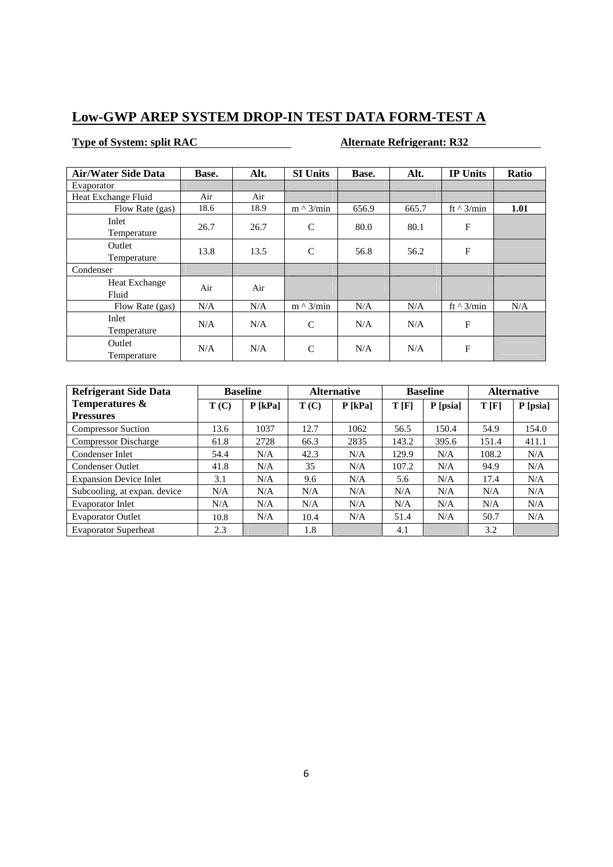# **Low-GWP AREP SYSTEM DROP-IN TEST DATA FORM-TEST A**

## **Type of System: split RAC Alternate Refrigerant: R32**

| <b>Air/Water Side Data</b> | Base. | Alt. | <b>SI Units</b>  | Base. | Alt.  | <b>IP Units</b>  | Ratio |
|----------------------------|-------|------|------------------|-------|-------|------------------|-------|
| Evaporator                 |       |      |                  |       |       |                  |       |
| Heat Exchange Fluid        | Air   | Air  |                  |       |       |                  |       |
| Flow Rate (gas)            | 18.6  | 18.9 | $m \wedge 3/min$ | 656.9 | 665.7 | ft $\land$ 3/min | 1.01  |
| Inlet<br>Temperature       | 26.7  | 26.7 | $\mathbf C$      | 80.0  | 80.1  | $\mathbf F$      |       |
| Outlet<br>Temperature      | 13.8  | 13.5 | $\mathsf{C}$     | 56.8  | 56.2  | $\mathbf{F}$     |       |
| Condenser                  |       |      |                  |       |       |                  |       |
| Heat Exchange<br>Fluid     | Air   | Air  |                  |       |       |                  |       |
| Flow Rate (gas)            | N/A   | N/A  | $m \wedge 3/min$ | N/A   | N/A   | ft $\land$ 3/min | N/A   |
| Inlet<br>Temperature       | N/A   | N/A  | $\mathsf{C}$     | N/A   | N/A   | F                |       |
| Outlet<br>Temperature      | N/A   | N/A  | $\mathsf{C}$     | N/A   | N/A   | $\mathbf{F}$     |       |

| <b>Refrigerant Side Data</b>  | <b>Baseline</b> |           |      | <b>Alternative</b> |       | <b>Baseline</b> | <b>Alternative</b> |          |
|-------------------------------|-----------------|-----------|------|--------------------|-------|-----------------|--------------------|----------|
| Temperatures &                | T(C)            | $P$ [kPa] | T(C) | $P$ [kPa]          | T[F]  | P [psia]        | T[F]               | P [psia] |
| <b>Pressures</b>              |                 |           |      |                    |       |                 |                    |          |
| <b>Compressor Suction</b>     | 13.6            | 1037      | 12.7 | 1062               | 56.5  | 150.4           | 54.9               | 154.0    |
| <b>Compressor Discharge</b>   | 61.8            | 2728      | 66.3 | 2835               | 143.2 | 395.6           | 151.4              | 411.1    |
| Condenser Inlet               | 54.4            | N/A       | 42.3 | N/A                | 129.9 | N/A             | 108.2              | N/A      |
| <b>Condenser Outlet</b>       | 41.8            | N/A       | 35   | N/A                | 107.2 | N/A             | 94.9               | N/A      |
| <b>Expansion Device Inlet</b> | 3.1             | N/A       | 9.6  | N/A                | 5.6   | N/A             | 17.4               | N/A      |
| Subcooling, at expan. device  | N/A             | N/A       | N/A  | N/A                | N/A   | N/A             | N/A                | N/A      |
| <b>Evaporator Inlet</b>       | N/A             | N/A       | N/A  | N/A                | N/A   | N/A             | N/A                | N/A      |
| <b>Evaporator Outlet</b>      | 10.8            | N/A       | 10.4 | N/A                | 51.4  | N/A             | 50.7               | N/A      |
| <b>Evaporator Superheat</b>   | 2.3             |           | 1.8  |                    | 4.1   |                 | 3.2                |          |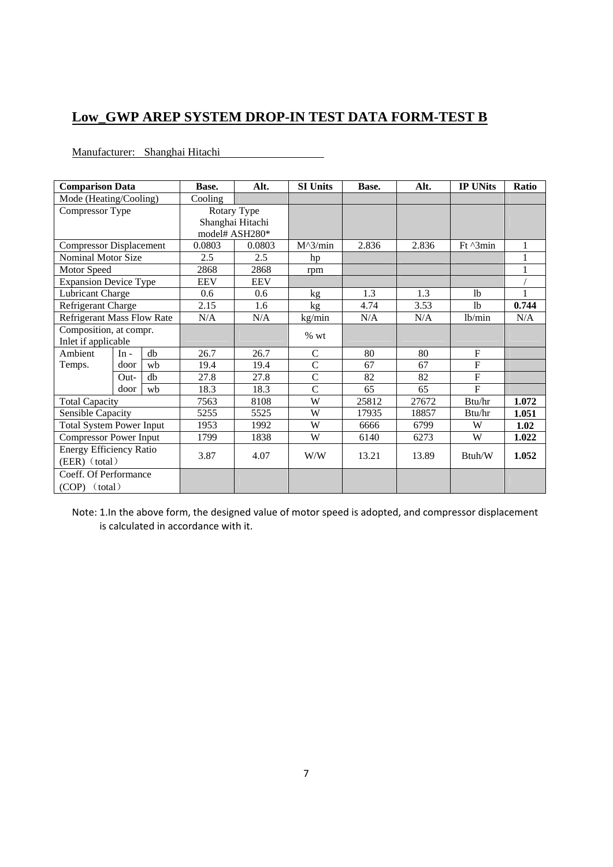# **Low\_GWP AREP SYSTEM DROP-IN TEST DATA FORM-TEST B**

Manufacturer: Shanghai Hitachi

| <b>Comparison Data</b>            |        |      | Base.      | Alt.                               | <b>SI Units</b> | Base. | Alt.           | <b>IP UNits</b>             | <b>Ratio</b> |
|-----------------------------------|--------|------|------------|------------------------------------|-----------------|-------|----------------|-----------------------------|--------------|
| Mode (Heating/Cooling)            |        |      | Cooling    |                                    |                 |       |                |                             |              |
| Compressor Type                   |        |      |            | Rotary Type                        |                 |       |                |                             |              |
|                                   |        |      |            | Shanghai Hitachi<br>model# ASH280* |                 |       |                |                             |              |
| <b>Compressor Displacement</b>    |        |      | 0.0803     | 0.0803                             | $M^3/min$       | 2.836 | 2.836          | $Ft^{\prime}$ $\gamma$ 3min | 1            |
| Nominal Motor Size                |        |      | 2.5        | 2.5                                | hp              |       |                |                             |              |
| Motor Speed                       |        |      | 2868       | 2868                               | rpm             |       |                |                             | 1            |
| <b>Expansion Device Type</b>      |        |      | <b>EEV</b> | <b>EEV</b>                         |                 |       |                |                             |              |
| Lubricant Charge                  |        |      | 0.6        | 0.6                                | kg              | 1.3   | 1.3            | 1 <sub>b</sub>              | 1            |
| Refrigerant Charge                |        | 2.15 | 1.6        | kg                                 | 4.74            | 3.53  | 1 <sub>b</sub> | 0.744                       |              |
| <b>Refrigerant Mass Flow Rate</b> |        |      | N/A        | N/A                                | kg/min          | N/A   | N/A            | lb/min                      | N/A          |
| Composition, at compr.            |        |      |            | % wt                               |                 |       |                |                             |              |
| Inlet if applicable               |        |      |            |                                    |                 |       |                |                             |              |
| Ambient                           | $In -$ | db   | 26.7       | 26.7                               | $\mathsf{C}$    | 80    | 80             | $\mathbf F$                 |              |
| Temps.                            | door   | wh   | 19.4       | 19.4                               | $\overline{C}$  | 67    | 67             | $\overline{F}$              |              |
|                                   | $Out-$ | $db$ | 27.8       | 27.8                               | $\overline{C}$  | 82    | 82             | $\overline{F}$              |              |
|                                   | door   | wh   | 18.3       | 18.3                               | $\overline{C}$  | 65    | 65             | $\overline{F}$              |              |
| <b>Total Capacity</b>             |        |      | 7563       | 8108                               | W               | 25812 | 27672          | Btu/hr                      | 1.072        |
| Sensible Capacity                 |        |      | 5255       | 5525                               | W               | 17935 | 18857          | Btu/hr                      | 1.051        |
| <b>Total System Power Input</b>   |        |      | 1953       | 1992                               | W               | 6666  | 6799           | W                           | 1.02         |
| <b>Compressor Power Input</b>     |        |      | 1799       | 1838                               | W               | 6140  | 6273           | W                           | 1.022        |
| <b>Energy Efficiency Ratio</b>    |        |      | 3.87       | 4.07                               | W/W             | 13.21 | 13.89          | Btuh/W                      | 1.052        |
| (EER) (total)                     |        |      |            |                                    |                 |       |                |                             |              |
| Coeff. Of Performance             |        |      |            |                                    |                 |       |                |                             |              |
| $(COP)$ (total)                   |        |      |            |                                    |                 |       |                |                             |              |

Note: 1.In the above form, the designed value of motor speed is adopted, and compressor displacement is calculated in accordance with it.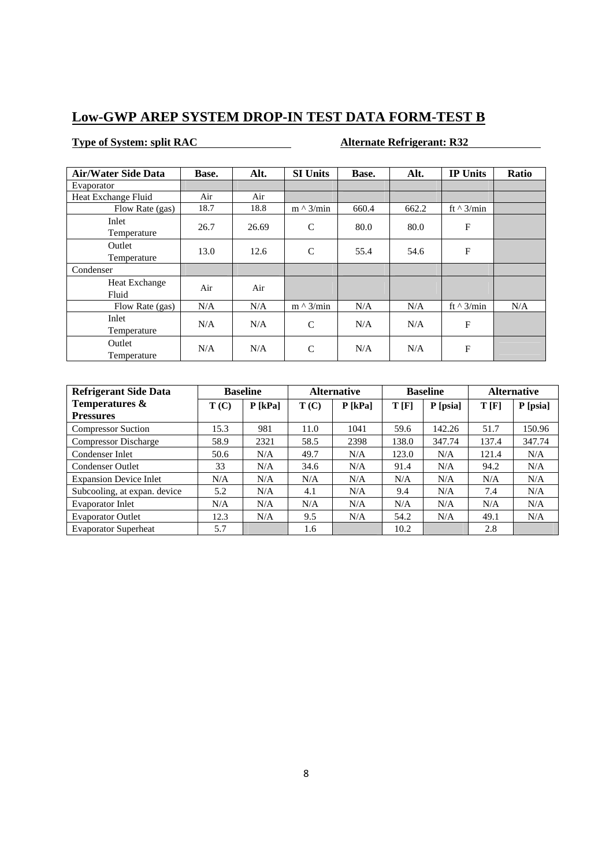## **Low-GWP AREP SYSTEM DROP-IN TEST DATA FORM-TEST B**

## **Type of System: split RAC Alternate Refrigerant: R32**

| <b>Air/Water Side Data</b> | Base. | Alt.  | <b>SI Units</b>  | Base. | Alt.  | <b>IP Units</b>  | Ratio |
|----------------------------|-------|-------|------------------|-------|-------|------------------|-------|
| Evaporator                 |       |       |                  |       |       |                  |       |
| Heat Exchange Fluid        | Air   | Air   |                  |       |       |                  |       |
| Flow Rate (gas)            | 18.7  | 18.8  | $m \wedge 3/min$ | 660.4 | 662.2 | ft $\land$ 3/min |       |
| Inlet<br>Temperature       | 26.7  | 26.69 | $\mathcal{C}$    | 80.0  | 80.0  | $\mathbf{F}$     |       |
| Outlet<br>Temperature      | 13.0  | 12.6  | $\mathsf{C}$     | 55.4  | 54.6  | $\mathbf{F}$     |       |
| Condenser                  |       |       |                  |       |       |                  |       |
| Heat Exchange<br>Fluid     | Air   | Air   |                  |       |       |                  |       |
| Flow Rate (gas)            | N/A   | N/A   | $m \wedge 3/min$ | N/A   | N/A   | ft $\land$ 3/min | N/A   |
| Inlet<br>Temperature       | N/A   | N/A   | $\mathsf{C}$     | N/A   | N/A   | $\mathbf F$      |       |
| Outlet<br>Temperature      | N/A   | N/A   | $\mathsf{C}$     | N/A   | N/A   | F                |       |

| <b>Refrigerant Side Data</b>  |      | <b>Baseline</b> |      | <b>Alternative</b> |       | <b>Baseline</b> | <b>Alternative</b> |          |
|-------------------------------|------|-----------------|------|--------------------|-------|-----------------|--------------------|----------|
| Temperatures &                | T(C) | $P$ [kPa]       | T(C) | $P$ [kPa]          | T[F]  | P [psia]        | T[F]               | P [psia] |
| <b>Pressures</b>              |      |                 |      |                    |       |                 |                    |          |
| <b>Compressor Suction</b>     | 15.3 | 981             | 11.0 | 1041               | 59.6  | 142.26          | 51.7               | 150.96   |
| <b>Compressor Discharge</b>   | 58.9 | 2321            | 58.5 | 2398               | 138.0 | 347.74          | 137.4              | 347.74   |
| Condenser Inlet               | 50.6 | N/A             | 49.7 | N/A                | 123.0 | N/A             | 121.4              | N/A      |
| <b>Condenser Outlet</b>       | 33   | N/A             | 34.6 | N/A                | 91.4  | N/A             | 94.2               | N/A      |
| <b>Expansion Device Inlet</b> | N/A  | N/A             | N/A  | N/A                | N/A   | N/A             | N/A                | N/A      |
| Subcooling, at expan. device  | 5.2  | N/A             | 4.1  | N/A                | 9.4   | N/A             | 7.4                | N/A      |
| Evaporator Inlet              | N/A  | N/A             | N/A  | N/A                | N/A   | N/A             | N/A                | N/A      |
| <b>Evaporator Outlet</b>      | 12.3 | N/A             | 9.5  | N/A                | 54.2  | N/A             | 49.1               | N/A      |
| <b>Evaporator Superheat</b>   | 5.7  |                 | 1.6  |                    | 10.2  |                 | 2.8                |          |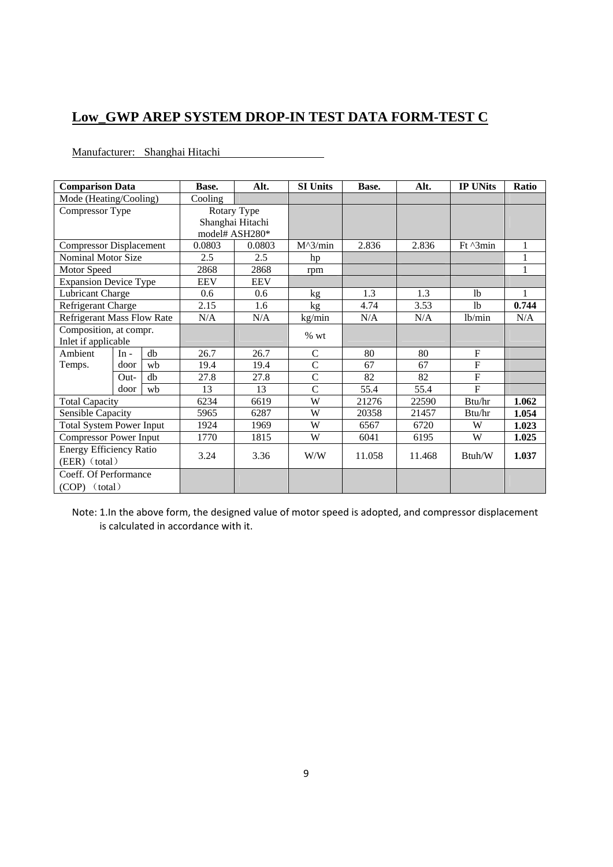# **Low\_GWP AREP SYSTEM DROP-IN TEST DATA FORM-TEST C**

Manufacturer: Shanghai Hitachi

| <b>Comparison Data</b>            |        |      | Base.          | Alt.                            | <b>SI Units</b> | Base.  | Alt.           | <b>IP UNits</b>             | <b>Ratio</b> |
|-----------------------------------|--------|------|----------------|---------------------------------|-----------------|--------|----------------|-----------------------------|--------------|
| Mode (Heating/Cooling)            |        |      | Cooling        |                                 |                 |        |                |                             |              |
| Compressor Type                   |        |      |                | Rotary Type<br>Shanghai Hitachi |                 |        |                |                             |              |
|                                   |        |      | model# ASH280* |                                 |                 |        |                |                             |              |
| <b>Compressor Displacement</b>    |        |      | 0.0803         | 0.0803                          | $M^3/min$       | 2.836  | 2.836          | $Ft^{\prime}$ $\gamma$ 3min | 1            |
| Nominal Motor Size                |        |      | 2.5            | 2.5                             | hp              |        |                |                             |              |
| Motor Speed                       |        |      | 2868           | 2868                            | rpm             |        |                |                             | $\mathbf{1}$ |
| <b>Expansion Device Type</b>      |        |      | <b>EEV</b>     | <b>EEV</b>                      |                 |        |                |                             |              |
| Lubricant Charge                  |        |      | 0.6            | 0.6                             | kg              | 1.3    | 1.3            | 1 <sub>b</sub>              | $\mathbf{1}$ |
| Refrigerant Charge                |        | 2.15 | 1.6            | kg                              | 4.74            | 3.53   | 1 <sub>b</sub> | 0.744                       |              |
| <b>Refrigerant Mass Flow Rate</b> |        |      | N/A            | N/A                             | kg/min          | N/A    | N/A            | lb/min                      | N/A          |
| Composition, at compr.            |        |      |                | % wt                            |                 |        |                |                             |              |
| Inlet if applicable               |        |      |                |                                 |                 |        |                |                             |              |
| Ambient                           | $In -$ | db   | 26.7           | 26.7                            | $\mathsf{C}$    | 80     | 80             | $\mathbf F$                 |              |
| Temps.                            | door   | wh   | 19.4           | 19.4                            | $\overline{C}$  | 67     | 67             | $\overline{F}$              |              |
|                                   | $Out-$ | $db$ | 27.8           | 27.8                            | $\overline{C}$  | 82     | 82             | $\overline{F}$              |              |
|                                   | door   | wh   | 13             | 13                              | $\overline{C}$  | 55.4   | 55.4           | $\overline{F}$              |              |
| <b>Total Capacity</b>             |        |      | 6234           | 6619                            | W               | 21276  | 22590          | Btu/hr                      | 1.062        |
| Sensible Capacity                 |        |      | 5965           | 6287                            | W               | 20358  | 21457          | Btu/hr                      | 1.054        |
| <b>Total System Power Input</b>   |        |      | 1924           | 1969                            | W               | 6567   | 6720           | W                           | 1.023        |
| <b>Compressor Power Input</b>     |        |      | 1770           | 1815                            | W               | 6041   | 6195           | W                           | 1.025        |
| <b>Energy Efficiency Ratio</b>    |        |      | 3.24           | 3.36                            | W/W             | 11.058 | 11.468         | Btuh/W                      | 1.037        |
| (EER) (total)                     |        |      |                |                                 |                 |        |                |                             |              |
| Coeff. Of Performance             |        |      |                |                                 |                 |        |                |                             |              |
| $(COP)$ (total)                   |        |      |                |                                 |                 |        |                |                             |              |

Note: 1.In the above form, the designed value of motor speed is adopted, and compressor displacement is calculated in accordance with it.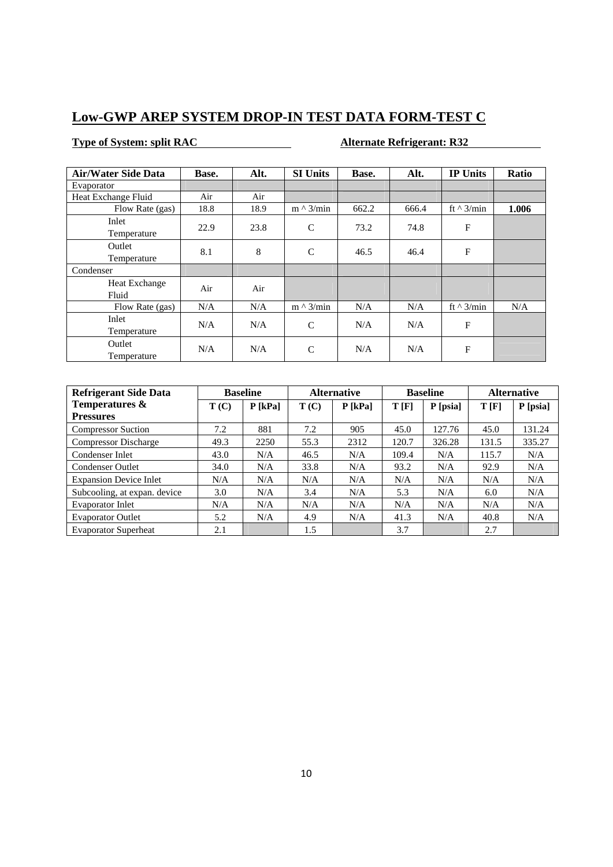## **Low-GWP AREP SYSTEM DROP-IN TEST DATA FORM-TEST C**

## **Type of System: split RAC Alternate Refrigerant: R32**

| <b>Air/Water Side Data</b> | Base. | Alt. | <b>SI Units</b>  | Base. | Alt.  | <b>IP Units</b>  | Ratio |
|----------------------------|-------|------|------------------|-------|-------|------------------|-------|
| Evaporator                 |       |      |                  |       |       |                  |       |
| Heat Exchange Fluid        | Air   | Air  |                  |       |       |                  |       |
| Flow Rate (gas)            | 18.8  | 18.9 | $m \wedge 3/min$ | 662.2 | 666.4 | ft $\land$ 3/min | 1.006 |
| Inlet<br>Temperature       | 22.9  | 23.8 | $\mathsf{C}$     | 73.2  | 74.8  | $\mathbf{F}$     |       |
| Outlet<br>Temperature      | 8.1   | 8    | $\mathcal{C}$    | 46.5  | 46.4  | $\mathbf{F}$     |       |
| Condenser                  |       |      |                  |       |       |                  |       |
| Heat Exchange<br>Fluid     | Air   | Air  |                  |       |       |                  |       |
| Flow Rate (gas)            | N/A   | N/A  | $m \wedge 3/min$ | N/A   | N/A   | ft $\land$ 3/min | N/A   |
| Inlet<br>Temperature       | N/A   | N/A  | $\mathsf{C}$     | N/A   | N/A   | F                |       |
| Outlet<br>Temperature      | N/A   | N/A  | $\mathsf{C}$     | N/A   | N/A   | $\mathbf{F}$     |       |

| <b>Refrigerant Side Data</b>  | <b>Baseline</b> |           | <b>Alternative</b> |           | <b>Baseline</b> |          | <b>Alternative</b> |          |
|-------------------------------|-----------------|-----------|--------------------|-----------|-----------------|----------|--------------------|----------|
| Temperatures &                | T(C)            | $P$ [kPa] | T(C)               | $P$ [kPa] | T[F]            | P [psia] | T[F]               | P [psia] |
| <b>Pressures</b>              |                 |           |                    |           |                 |          |                    |          |
| <b>Compressor Suction</b>     | 7.2             | 881       | 7.2                | 905       | 45.0            | 127.76   | 45.0               | 131.24   |
| <b>Compressor Discharge</b>   | 49.3            | 2250      | 55.3               | 2312      | 120.7           | 326.28   | 131.5              | 335.27   |
| Condenser Inlet               | 43.0            | N/A       | 46.5               | N/A       | 109.4           | N/A      | 115.7              | N/A      |
| <b>Condenser Outlet</b>       | 34.0            | N/A       | 33.8               | N/A       | 93.2            | N/A      | 92.9               | N/A      |
| <b>Expansion Device Inlet</b> | N/A             | N/A       | N/A                | N/A       | N/A             | N/A      | N/A                | N/A      |
| Subcooling, at expan. device  | 3.0             | N/A       | 3.4                | N/A       | 5.3             | N/A      | 6.0                | N/A      |
| Evaporator Inlet              | N/A             | N/A       | N/A                | N/A       | N/A             | N/A      | N/A                | N/A      |
| <b>Evaporator Outlet</b>      | 5.2             | N/A       | 4.9                | N/A       | 41.3            | N/A      | 40.8               | N/A      |
| <b>Evaporator Superheat</b>   | 2.1             |           | 1.5                |           | 3.7             |          | 2.7                |          |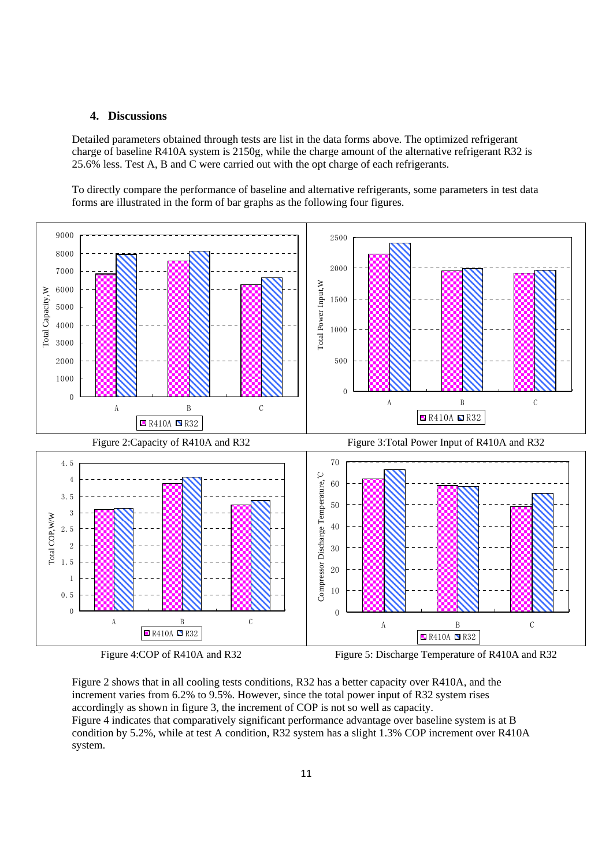### **4. Discussions**

Detailed parameters obtained through tests are list in the data forms above. The optimized refrigerant charge of baseline R410A system is 2150g, while the charge amount of the alternative refrigerant R32 is 25.6% less. Test A, B and C were carried out with the opt charge of each refrigerants.

To directly compare the performance of baseline and alternative refrigerants, some parameters in test data forms are illustrated in the form of bar graphs as the following four figures.



Figure 4:COP of R410A and R32 Figure 5: Discharge Temperature of R410A and R32

Figure 2 shows that in all cooling tests conditions, R32 has a better capacity over R410A, and the increment varies from 6.2% to 9.5%. However, since the total power input of R32 system rises accordingly as shown in figure 3, the increment of COP is not so well as capacity. Figure 4 indicates that comparatively significant performance advantage over baseline system is at B condition by 5.2%, while at test A condition, R32 system has a slight 1.3% COP increment over R410A system.